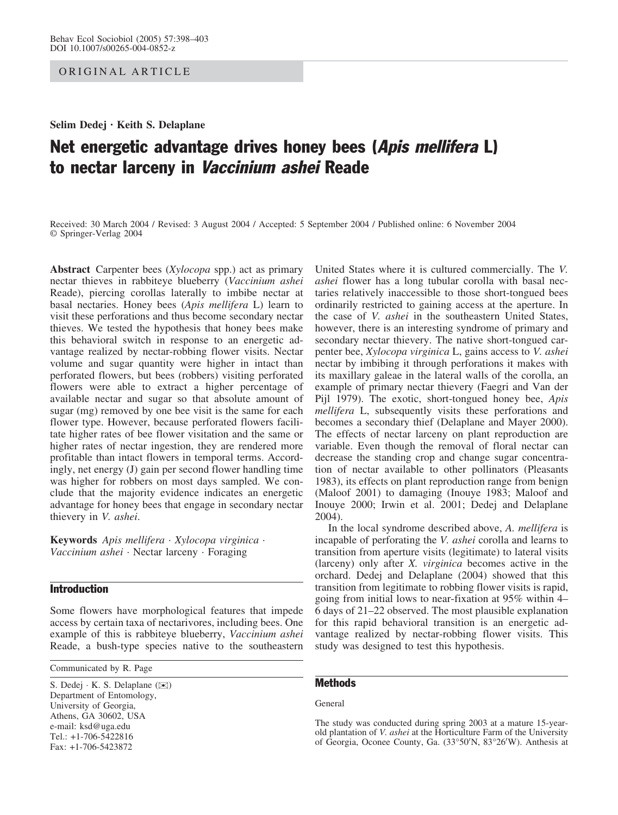ORIGINAL ARTICLE

Selim Dedej · Keith S. Delaplane

# Net energetic advantage drives honey bees (Apis mellifera L) to nectar larceny in Vaccinium ashei Reade

Received: 30 March 2004 / Revised: 3 August 2004 / Accepted: 5 September 2004 / Published online: 6 November 2004 Springer-Verlag 2004

Abstract Carpenter bees (Xylocopa spp.) act as primary nectar thieves in rabbiteye blueberry (Vaccinium ashei Reade), piercing corollas laterally to imbibe nectar at basal nectaries. Honey bees (Apis mellifera L) learn to visit these perforations and thus become secondary nectar thieves. We tested the hypothesis that honey bees make this behavioral switch in response to an energetic advantage realized by nectar-robbing flower visits. Nectar volume and sugar quantity were higher in intact than perforated flowers, but bees (robbers) visiting perforated flowers were able to extract a higher percentage of available nectar and sugar so that absolute amount of sugar (mg) removed by one bee visit is the same for each flower type. However, because perforated flowers facilitate higher rates of bee flower visitation and the same or higher rates of nectar ingestion, they are rendered more profitable than intact flowers in temporal terms. Accordingly, net energy (J) gain per second flower handling time was higher for robbers on most days sampled. We conclude that the majority evidence indicates an energetic advantage for honey bees that engage in secondary nectar thievery in V. ashei.

Keywords Apis mellifera · Xylocopa virginica · Vaccinium ashei · Nectar larceny · Foraging

## **Introduction**

Some flowers have morphological features that impede access by certain taxa of nectarivores, including bees. One example of this is rabbiteye blueberry, Vaccinium ashei Reade, a bush-type species native to the southeastern

Communicated by R. Page

S. Dedej · K. S. Delaplane (*)*) Department of Entomology, University of Georgia, Athens, GA 30602, USA e-mail: ksd@uga.edu Tel.: +1-706-5422816 Fax: +1-706-5423872

United States where it is cultured commercially. The V. ashei flower has a long tubular corolla with basal nectaries relatively inaccessible to those short-tongued bees ordinarily restricted to gaining access at the aperture. In the case of V. ashei in the southeastern United States, however, there is an interesting syndrome of primary and secondary nectar thievery. The native short-tongued carpenter bee, Xylocopa virginica L, gains access to V. ashei nectar by imbibing it through perforations it makes with its maxillary galeae in the lateral walls of the corolla, an example of primary nectar thievery (Faegri and Van der Pijl 1979). The exotic, short-tongued honey bee, Apis mellifera L, subsequently visits these perforations and becomes a secondary thief (Delaplane and Mayer 2000). The effects of nectar larceny on plant reproduction are variable. Even though the removal of floral nectar can decrease the standing crop and change sugar concentration of nectar available to other pollinators (Pleasants 1983), its effects on plant reproduction range from benign (Maloof 2001) to damaging (Inouye 1983; Maloof and Inouye 2000; Irwin et al. 2001; Dedej and Delaplane 2004).

In the local syndrome described above, A. mellifera is incapable of perforating the V. ashei corolla and learns to transition from aperture visits (legitimate) to lateral visits (larceny) only after X. virginica becomes active in the orchard. Dedej and Delaplane (2004) showed that this transition from legitimate to robbing flower visits is rapid, going from initial lows to near-fixation at 95% within 4– 6 days of 21–22 observed. The most plausible explanation for this rapid behavioral transition is an energetic advantage realized by nectar-robbing flower visits. This study was designed to test this hypothesis.

# **Methods**

#### General

The study was conducted during spring 2003 at a mature 15-yearold plantation of V. ashei at the Horticulture Farm of the University of Georgia, Oconee County, Ga. (33°50'N, 83°26'W). Anthesis at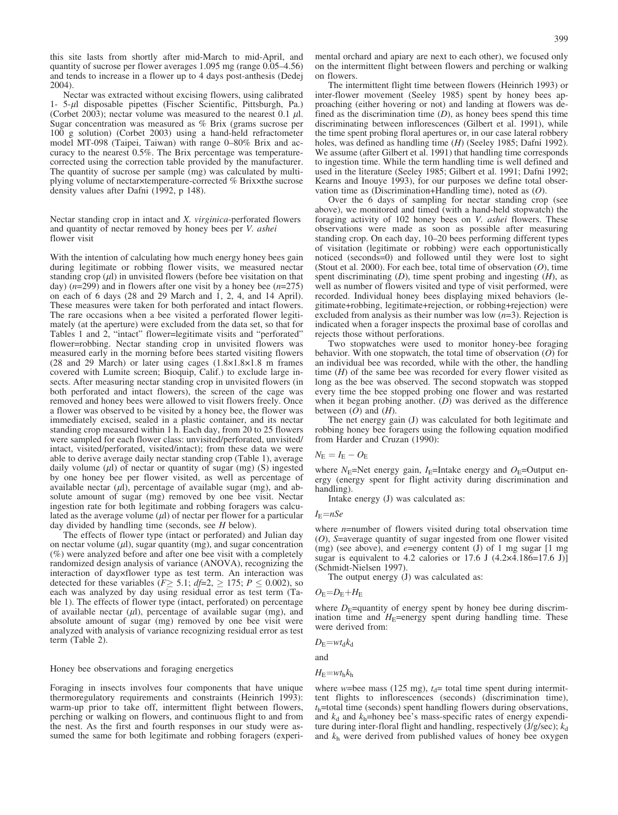this site lasts from shortly after mid-March to mid-April, and quantity of sucrose per flower averages 1.095 mg (range 0.05–4.56) and tends to increase in a flower up to 4 days post-anthesis (Dedej 2004).

Nectar was extracted without excising flowers, using calibrated 1- 5-ml disposable pipettes (Fischer Scientific, Pittsburgh, Pa.) (Corbet 2003); nectar volume was measured to the nearest 0.1  $\mu$ l. Sugar concentration was measured as % Brix (grams sucrose per 100 g solution) (Corbet 2003) using a hand-held refractometer model MT-098 (Taipei, Taiwan) with range 0–80% Brix and accuracy to the nearest 0.5%. The Brix percentage was temperaturecorrected using the correction table provided by the manufacturer. The quantity of sucrose per sample (mg) was calculated by multiplying volume of nectarxtemperature-corrected % Brixxthe sucrose density values after Dafni (1992, p 148).

Nectar standing crop in intact and X. virginica-perforated flowers and quantity of nectar removed by honey bees per V. ashei flower visit

With the intention of calculating how much energy honey bees gain during legitimate or robbing flower visits, we measured nectar standing crop  $(\mu l)$  in unvisited flowers (before bee visitation on that day) ( $n=299$ ) and in flowers after one visit by a honey bee ( $n=275$ ) on each of 6 days (28 and 29 March and 1, 2, 4, and 14 April). These measures were taken for both perforated and intact flowers. The rare occasions when a bee visited a perforated flower legitimately (at the aperture) were excluded from the data set, so that for Tables 1 and 2, "intact" flower=legitimate visits and "perforated" flower=robbing. Nectar standing crop in unvisited flowers was measured early in the morning before bees started visiting flowers (28 and 29 March) or later using cages  $(1.8\times1.8\times1.8)$  m frames covered with Lumite screen; Bioquip, Calif.) to exclude large insects. After measuring nectar standing crop in unvisited flowers (in both perforated and intact flowers), the screen of the cage was removed and honey bees were allowed to visit flowers freely. Once a flower was observed to be visited by a honey bee, the flower was immediately excised, sealed in a plastic container, and its nectar standing crop measured within 1 h. Each day, from 20 to 25 flowers were sampled for each flower class: unvisited/perforated, unvisited/ intact, visited/perforated, visited/intact); from these data we were able to derive average daily nectar standing crop (Table 1), average daily volume  $(\mu l)$  of nectar or quantity of sugar (mg) (S) ingested by one honey bee per flower visited, as well as percentage of available nectar  $(\mu l)$ , percentage of available sugar (mg), and absolute amount of sugar (mg) removed by one bee visit. Nectar ingestion rate for both legitimate and robbing foragers was calculated as the average volume  $(\mu l)$  of nectar per flower for a particular day divided by handling time (seconds, see  $H$  below).

The effects of flower type (intact or perforated) and Julian day on nectar volume  $(\mu l)$ , sugar quantity (mg), and sugar concentration (%) were analyzed before and after one bee visit with a completely randomized design analysis of variance (ANOVA), recognizing the interaction of dayxflower type as test term. An interaction was detected for these variables ( $F \ge 5.1$ ;  $df=2$ ,  $\ge 175$ ;  $P \le 0.002$ ), so each was analyzed by day using residual error as test term (Table 1). The effects of flower type (intact, perforated) on percentage of available nectar  $(\mu l)$ , percentage of available sugar (mg), and absolute amount of sugar (mg) removed by one bee visit were analyzed with analysis of variance recognizing residual error as test term (Table 2).

Honey bee observations and foraging energetics

Foraging in insects involves four components that have unique thermoregulatory requirements and constraints (Heinrich 1993): warm-up prior to take off, intermittent flight between flowers, perching or walking on flowers, and continuous flight to and from the nest. As the first and fourth responses in our study were assumed the same for both legitimate and robbing foragers (experimental orchard and apiary are next to each other), we focused only on the intermittent flight between flowers and perching or walking on flowers.

The intermittent flight time between flowers (Heinrich 1993) or inter-flower movement (Seeley 1985) spent by honey bees approaching (either hovering or not) and landing at flowers was defined as the discrimination time  $(D)$ , as honey bees spend this time discriminating between inflorescences (Gilbert et al. 1991), while the time spent probing floral apertures or, in our case lateral robbery holes, was defined as handling time (H) (Seeley 1985; Dafni 1992). We assume (after Gilbert et al. 1991) that handling time corresponds to ingestion time. While the term handling time is well defined and used in the literature (Seeley 1985; Gilbert et al. 1991; Dafni 1992; Kearns and Inouye 1993), for our purposes we define total observation time as (Discrimination+Handling time), noted as (O).

Over the 6 days of sampling for nectar standing crop (see above), we monitored and timed (with a hand-held stopwatch) the foraging activity of 102 honey bees on *V. ashei* flowers. These observations were made as soon as possible after measuring standing crop. On each day, 10–20 bees performing different types of visitation (legitimate or robbing) were each opportunistically noticed (seconds=0) and followed until they were lost to sight (Stout et al. 2000). For each bee, total time of observation  $(O)$ , time spent discriminating  $(D)$ , time spent probing and ingesting  $(H)$ , as well as number of flowers visited and type of visit performed, were recorded. Individual honey bees displaying mixed behaviors (legitimate+robbing, legitimate+rejection, or robbing+rejection) were excluded from analysis as their number was low  $(n=3)$ . Rejection is indicated when a forager inspects the proximal base of corollas and rejects those without perforations.

Two stopwatches were used to monitor honey-bee foraging behavior. With one stopwatch, the total time of observation  $(O)$  for an individual bee was recorded, while with the other, the handling time  $(H)$  of the same bee was recorded for every flower visited as long as the bee was observed. The second stopwatch was stopped every time the bee stopped probing one flower and was restarted when it began probing another.  $(D)$  was derived as the difference between  $(O)$  and  $(H)$ .

The net energy gain (J) was calculated for both legitimate and robbing honey bee foragers using the following equation modified from Harder and Cruzan (1990):

$$
N_{\rm E}=I_{\rm E}-O_{\rm E}
$$

where  $N_{\rm E}$ =Net energy gain,  $I_{\rm E}$ =Intake energy and  $O_{\rm E}$ =Output energy (energy spent for flight activity during discrimination and handling).

Intake energy (J) was calculated as:

 $I_{\rm E}=nSe$ 

where  $n$ =number of flowers visited during total observation time (O), S=average quantity of sugar ingested from one flower visited (mg) (see above), and *e*=energy content (J) of 1 mg sugar  $[1 \text{ mg}]$ sugar is equivalent to 4.2 calories or 17.6 J  $(4.2 \times 4.186=17.6 \text{ J})$ (Schmidt-Nielsen 1997).

The output energy (J) was calculated as:

$$
O_{\rm E}\text{=}D_{\rm E}\text{+}H_{\rm E}
$$

where  $D<sub>E</sub>$ =quantity of energy spent by honey bee during discrimination time and  $H<sub>E</sub>$ =energy spent during handling time. These were derived from:

$$
D_{\rm E} = w t_{\rm d} k_{\rm d}
$$

and

$$
H_{\rm E} = w t_{\rm h} k_{\rm h}
$$

where w=bee mass (125 mg),  $t<sub>d</sub>$ = total time spent during intermittent flights to inflorescences (seconds) (discrimination time),  $t<sub>h</sub>$ =total time (seconds) spent handling flowers during observations, and  $k_d$  and  $k_h$ =honey bee's mass-specific rates of energy expenditure during inter-floral flight and handling, respectively  $(J/g/sec)$ ;  $k<sub>d</sub>$ and  $k<sub>h</sub>$  were derived from published values of honey bee oxygen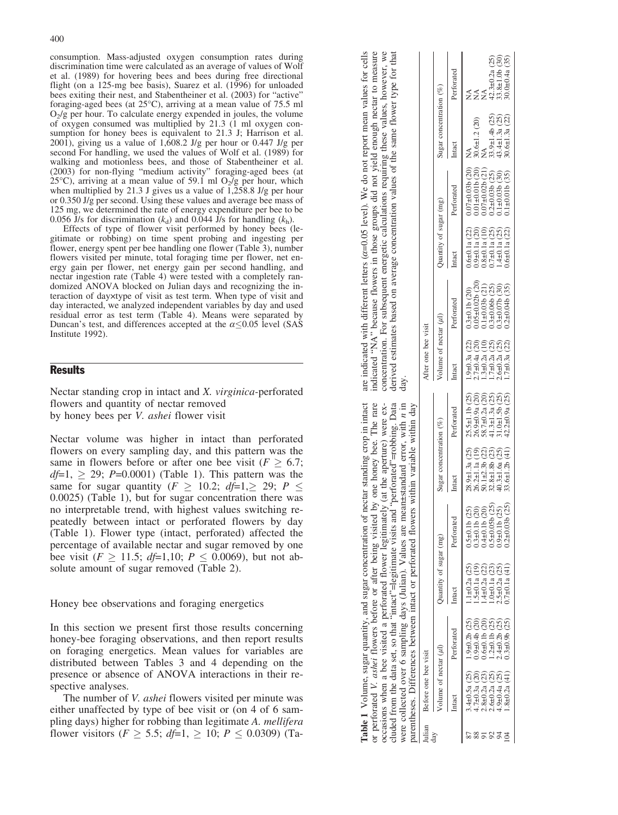consumption. Mass-adjusted oxygen consumption rates during discrimination time were calculated as an average of values of Wolf et al. (1989) for hovering bees and bees during free directional flight (on a 125-mg bee basis), Suarez et al. (1996) for unloaded bees exiting their nest, and Stabentheiner et al. (2003) for "active" foraging-aged bees (at  $25^{\circ}$ C), arriving at a mean value of 75.5 ml  $O<sub>2</sub>/g$  per hour. To calculate energy expended in joules, the volume of oxygen consumed was multiplied by 21.3 (1 ml oxygen consumption for honey bees is equivalent to 21.3 J; Harrison et al. 2001), giving us a value of 1,608.2 J/g per hour or 0.447 J/g per second For handling, we used the values of Wolf et al. (1989) for walking and motionless bees, and those of Stabentheiner et al. (2003) for non-flying "medium activity" foraging-aged bees (at 25 $\degree$ C), arriving at a mean value of 59.1 ml O<sub>2</sub>/g per hour, which when multiplied by 21.3 J gives us a value of 1,258.8 J/g per hour or 0.350 J/g per second. Using these values and average bee mass of

0.056 J/s for discrimination  $(k_d)$  and 0.044 J/s for handling  $(k_h)$ . Effects of type of flower visit performed by honey bees (legitimate or robbing) on time spent probing and ingesting per flower, energy spent per bee handling one flower (Table 3), number flowers visited per minute, total foraging time per flower, net energy gain per flower, net energy gain per second handling, and nectar ingestion rate (Table 4) were tested with a completely randomized ANOVA blocked on Julian days and recognizing the interaction of dayxtype of visit as test term. When type of visit and day interacted, we analyzed independent variables by day and used residual error as test term (Table 4). Means were separated by Duncan's test, and differences accepted at the  $\alpha \leq 0.05$  level (SAS Institute 1992).

125 mg, we determined the rate of energy expenditure per bee to be

### Results

Nectar standing crop in intact and X. virginica-perforated flowers and quantity of nectar removed by honey bees per V. ashei flower visit

Nectar volume was higher in intact than perforated flowers on every sampling day, and this pattern was the same in flowers before or after one bee visit ( $F \geq 6.7$ ;  $df=1$ ,  $\geq$  29; P=0.0001) (Table 1). This pattern was the same for sugar quantity ( $F \ge 10.2$ ;  $df=1, \ge 29$ ;  $P \le$ 0.0025) (Table 1), but for sugar concentration there was no interpretable trend, with highest values switching repeatedly between intact or perforated flowers by day (Table 1). Flower type (intact, perforated) affected the percentage of available nectar and sugar removed by one bee visit ( $F \ge 11.5$ ;  $df=1,10$ ;  $P \le 0.0069$ ), but not absolute amount of sugar removed (Table 2).

Honey bee observations and foraging energetics

In this section we present first those results concerning honey-bee foraging observations, and then report results on foraging energetics. Mean values for variables are distributed between Tables 3 and 4 depending on the presence or absence of ANOVA interactions in their respective analyses.

The number of *V. ashei* flowers visited per minute was either unaffected by type of bee visit or (on 4 of 6 sampling days) higher for robbing than legitimate A. mellifera flower visitors ( $F \ge 5.5$ ;  $df=1$ ,  $\ge 10$ ;  $P \le 0.0309$ ) (Ta-

|                                             |                                                           |                                         | Table 1 Volume, sugar quantity, and sugar concentration of nectar standing crop in intact<br>or perforated V. <i>ashei</i> flowers before or after being visited by one honey bee. The rare<br>occasions when a bee visited a perforated flower legitimately (at the aperture) were ex-<br>cluded from the data set, so that "intact"=legitimate visits and "perforated"=robbing. Data<br>parentheses. Differences between intact or perforated flowers within variable within day<br>were collected over 6 sampling days (Julian). Values are mean±standard error, with n in |                           |                                                                   | day.                                    | are indicated with different letters ( $\alpha$ =0.05 level). We do not report mean values for cells<br>concentration. For subsequent energetic calculations requiring these values, however, we<br>indicated "NA" because flowers in those groups did not yield enough nectar to measure<br>derived estimates based on average concentration values of the same flower type for that |                                         |                                                |                                                                 |                                        |
|---------------------------------------------|-----------------------------------------------------------|-----------------------------------------|-------------------------------------------------------------------------------------------------------------------------------------------------------------------------------------------------------------------------------------------------------------------------------------------------------------------------------------------------------------------------------------------------------------------------------------------------------------------------------------------------------------------------------------------------------------------------------|---------------------------|-------------------------------------------------------------------|-----------------------------------------|---------------------------------------------------------------------------------------------------------------------------------------------------------------------------------------------------------------------------------------------------------------------------------------------------------------------------------------------------------------------------------------|-----------------------------------------|------------------------------------------------|-----------------------------------------------------------------|----------------------------------------|
| Before one bee visit                        |                                                           |                                         |                                                                                                                                                                                                                                                                                                                                                                                                                                                                                                                                                                               |                           |                                                                   | After one bee visit                     |                                                                                                                                                                                                                                                                                                                                                                                       |                                         |                                                |                                                                 |                                        |
| Volume of nectar $(\mu l)$                  |                                                           | Quantity of sugar (mg)                  |                                                                                                                                                                                                                                                                                                                                                                                                                                                                                                                                                                               | Sugar concentration $(%)$ |                                                                   | Volume of nectar $(\mu l)$              |                                                                                                                                                                                                                                                                                                                                                                                       | Quantity of sugar (mg)                  |                                                | Sugar concentration $(\%)$                                      |                                        |
| Intact                                      | Perforated                                                | Intact                                  | Perforated                                                                                                                                                                                                                                                                                                                                                                                                                                                                                                                                                                    | Intact                    | Perforated                                                        | Intact                                  | Perforated                                                                                                                                                                                                                                                                                                                                                                            | Intact                                  | Perforated                                     | Intact                                                          | Perforated                             |
| $3.4 \pm 0.5a$ (25)<br>$4.7 \pm 0.3$ a (20) | $1.9 \pm 0.2$ b $(25)$<br>$0.9 + 0.4$ <sub>b</sub> $(20)$ | $.1\pm 0.2a$ (25)<br>$.5 \pm 0.1a$ (19) | $\begin{array}{c} 0.5\text{\textcolor{red}{\textrm{1.6}}\,(11b\ (25)\ )} \\ 0.3\text{\textcolor{red}{\textrm{4-0.1}}\,(11b\ (20)\ )} \\ 0.4\text{\textcolor{red}{\textrm{4-0.1}}}\,(11b\ (20)\ ) \\ 0.5\text{\textcolor{red}{\textrm{4-0.05}}}\,(25) \\ 0.9\text{\textcolor{red}{\textrm{4-0.05}}}\,(25) \\ 0.2\text{\textcolor{red}{\textrm{4-0.03}}}\,(25) \\ 0.2\text{\textcolor{red}{\textrm{4$                                                                                                                                                                           | $26.2 \pm 1.1a(19)$       | $28.9 \pm 1.3a$ (25) $25.5 \pm 1.1b$ (25)<br>$26.9 \pm 0.9a$ (20) | $1.9 \pm 0.3a$ (22)<br>$2.7\pm0.4a(20)$ | $0.05 \pm 0.02b$ (20)<br>$0.3 \pm 0.1$ b $(20)$                                                                                                                                                                                                                                                                                                                                       | $0.6 \pm 0.1a$ (22)<br>$0.9 + 0.1a(20)$ | $0.07\pm0.03b(20)$<br>$0.01 \pm 0.01$ b $(20)$ | $30.6 \pm 1.2$ (20)<br>$\stackrel{\triangle}{\scriptstyle\geq}$ | ≸<br>≸                                 |
| $2.8 \pm 0.2a$ (23)                         | $0.6 \pm 0.1$ b $(20)$                                    | $.4\pm0.2a(22)$                         |                                                                                                                                                                                                                                                                                                                                                                                                                                                                                                                                                                               | $60.1 \pm 2.36$           | $58.7 \pm 0.2a$ (20)                                              | $\widehat{=}$<br>$.3 + 0.2a$            | $0.1 \pm 0.036$ (21)                                                                                                                                                                                                                                                                                                                                                                  | $0.8\pm0.1a(10)$                        | $0.07\pm0.02b(21)$                             |                                                                 |                                        |
| $2.6 \pm 0.2a$ (25)                         | $.2\pm0.1b(25)$                                           | $.0\pm0.1a(23)$                         |                                                                                                                                                                                                                                                                                                                                                                                                                                                                                                                                                                               | $0.8 + 1.8$ b (           | $1.3 \pm 1.3a$ (25)                                               | $.7\pm0.2a(25)$                         | $0.3 \pm 0.066$ (25)                                                                                                                                                                                                                                                                                                                                                                  | $0.7\pm0.1a(25)$                        | $0.2 \pm 0.03$ b $(25)$                        | $33.9 \pm 1.4$ b (25)                                           | $42.3 \pm 0.2a$ (25)<br>33.8±1.0b (30) |
| $4.9 \pm 0.4a$ (25)                         | $4\pm0.2b(25)$                                            | $2.5 \pm 0.2a$ (25)                     |                                                                                                                                                                                                                                                                                                                                                                                                                                                                                                                                                                               | $+0.3 \pm 1.6a$ (25)      | $31.0 \pm 1.5$ b $(25)$                                           | $2.6 \pm 0.2a$ (25)                     | $0.3 \pm 0.07$ b (30)                                                                                                                                                                                                                                                                                                                                                                 | $.4\pm0.1a(25)$                         | $0.1 \pm 0.03b$ (30)                           | $43.4 \pm 1.3a$ (25)                                            |                                        |
| $1.8 \pm 0.2a(41)$                          | $0.3 \pm 0.9$ b $(25)$                                    | $0.7\pm0.1a(41)$                        |                                                                                                                                                                                                                                                                                                                                                                                                                                                                                                                                                                               | $33.6 \pm 1.2b$ (41)      | $42.2 \pm 0.9a$ (25)                                              | $1.7\pm0.3a(22)$                        | $0.2 \pm 0.04$ b (35)                                                                                                                                                                                                                                                                                                                                                                 | $0.6 \pm 0.1a$ (22)                     | $0.1 \pm 0.01b$ (35)                           | $30.6 \pm 1.3a$ (22)                                            | $30.0 \pm 0.4a(35)$                    |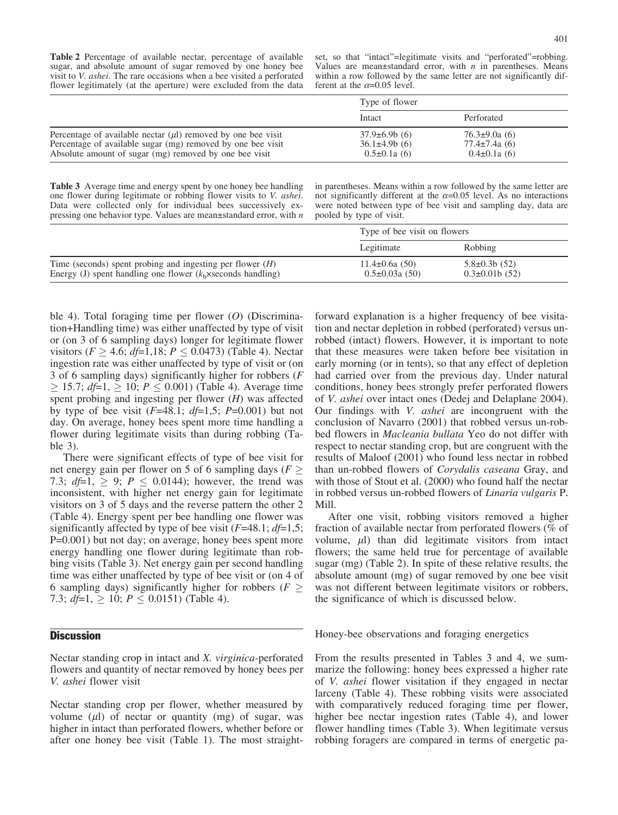Table 2 Percentage of available nectar, percentage of available sugar, and absolute amount of sugar removed by one honey bee visit to V. ashei. The rare occasions when a bee visited a perforated flower legitimately (at the aperture) were excluded from the data

set, so that "intact"=legitimate visits and "perforated"=robbing. Values are mean $\pm$ standard error, with *n* in parentheses. Means within a row followed by the same letter are not significantly different at the  $\alpha$ =0.05 level.

|                                                                                                                                                                                            | Type of flower                                             |                                                             |
|--------------------------------------------------------------------------------------------------------------------------------------------------------------------------------------------|------------------------------------------------------------|-------------------------------------------------------------|
|                                                                                                                                                                                            | Intact                                                     | Perforated                                                  |
| Percentage of available nectar $(\mu l)$ removed by one bee visit<br>Percentage of available sugar (mg) removed by one bee visit<br>Absolute amount of sugar (mg) removed by one bee visit | $37.9\pm 6.9b(6)$<br>$36.1\pm4.9b(6)$<br>$0.5 \pm 0.1a(6)$ | $76.3 \pm 9.0a(6)$<br>$77.4 \pm 7.4a(6)$<br>$0.4\pm0.1a(6)$ |

Table 3 Average time and energy spent by one honey bee handling one flower during legitimate or robbing flower visits to V. ashei. Data were collected only for individual bees successively expressing one behavior type. Values are mean±standard error, with  $n$  in parentheses. Means within a row followed by the same letter are not significantly different at the  $\alpha$ =0.05 level. As no interactions were noted between type of bee visit and sampling day, data are pooled by type of visit.

|                                                                                                                                     | Type of bee visit on flowers             |                                         |
|-------------------------------------------------------------------------------------------------------------------------------------|------------------------------------------|-----------------------------------------|
|                                                                                                                                     | Legitimate                               | Robbing                                 |
| Time (seconds) spent probing and ingesting per flower $(H)$<br>Energy (J) spent handling one flower $(k_h \times$ seconds handling) | $11.4\pm0.6a(50)$<br>$0.5 \pm 0.03a(50)$ | $5.8 \pm 0.3b(52)$<br>$0.3\pm0.01b(52)$ |

ble 4). Total foraging time per flower  $(O)$  (Discrimination+Handling time) was either unaffected by type of visit or (on 3 of 6 sampling days) longer for legitimate flower visitors ( $F \ge 4.6$ ;  $df=1,18$ ;  $P \le 0.0473$ ) (Table 4). Nectar ingestion rate was either unaffected by type of visit or (on 3 of 6 sampling days) significantly higher for robbers (F  $\geq 15.7$ ;  $df=1, \geq 10$ ;  $P \leq 0.001$ ) (Table 4). Average time spent probing and ingesting per flower  $(H)$  was affected by type of bee visit  $(F=48.1; df=1.5; P=0.001)$  but not day. On average, honey bees spent more time handling a flower during legitimate visits than during robbing (Table 3).

There were significant effects of type of bee visit for net energy gain per flower on 5 of 6 sampling days ( $F \geq$ 7.3; *df*=1,  $\ge$  9; *P*  $\le$  0.0144); however, the trend was inconsistent, with higher net energy gain for legitimate visitors on 3 of 5 days and the reverse pattern the other 2 (Table 4). Energy spent per bee handling one flower was significantly affected by type of bee visit  $(F=48.1; df=1.5;$ P=0.001) but not day; on average, honey bees spent more energy handling one flower during legitimate than robbing visits (Table 3). Net energy gain per second handling time was either unaffected by type of bee visit or (on 4 of 6 sampling days) significantly higher for robbers ( $F \geq$ 7.3;  $df=1$ ,  $\geq 10$ ;  $P \leq 0.0151$ ) (Table 4).

# **Discussion**

Nectar standing crop in intact and X. virginica-perforated flowers and quantity of nectar removed by honey bees per V. ashei flower visit

Nectar standing crop per flower, whether measured by volume  $(\mu l)$  of nectar or quantity (mg) of sugar, was higher in intact than perforated flowers, whether before or after one honey bee visit (Table 1). The most straight-

forward explanation is a higher frequency of bee visitation and nectar depletion in robbed (perforated) versus unrobbed (intact) flowers. However, it is important to note that these measures were taken before bee visitation in early morning (or in tents), so that any effect of depletion had carried over from the previous day. Under natural conditions, honey bees strongly prefer perforated flowers of V. ashei over intact ones (Dedej and Delaplane 2004). Our findings with *V. ashei* are incongruent with the conclusion of Navarro (2001) that robbed versus un-robbed flowers in Macleania bullata Yeo do not differ with respect to nectar standing crop, but are congruent with the results of Maloof (2001) who found less nectar in robbed than un-robbed flowers of Corydalis caseana Gray, and with those of Stout et al. (2000) who found half the nectar in robbed versus un-robbed flowers of Linaria vulgaris P. Mill.

After one visit, robbing visitors removed a higher fraction of available nectar from perforated flowers (% of volume,  $\mu$ ) than did legitimate visitors from intact flowers; the same held true for percentage of available sugar (mg) (Table 2). In spite of these relative results, the absolute amount (mg) of sugar removed by one bee visit was not different between legitimate visitors or robbers, the significance of which is discussed below.

Honey-bee observations and foraging energetics

From the results presented in Tables 3 and 4, we summarize the following: honey bees expressed a higher rate of V. ashei flower visitation if they engaged in nectar larceny (Table 4). These robbing visits were associated with comparatively reduced foraging time per flower, higher bee nectar ingestion rates (Table 4), and lower flower handling times (Table 3). When legitimate versus robbing foragers are compared in terms of energetic pa-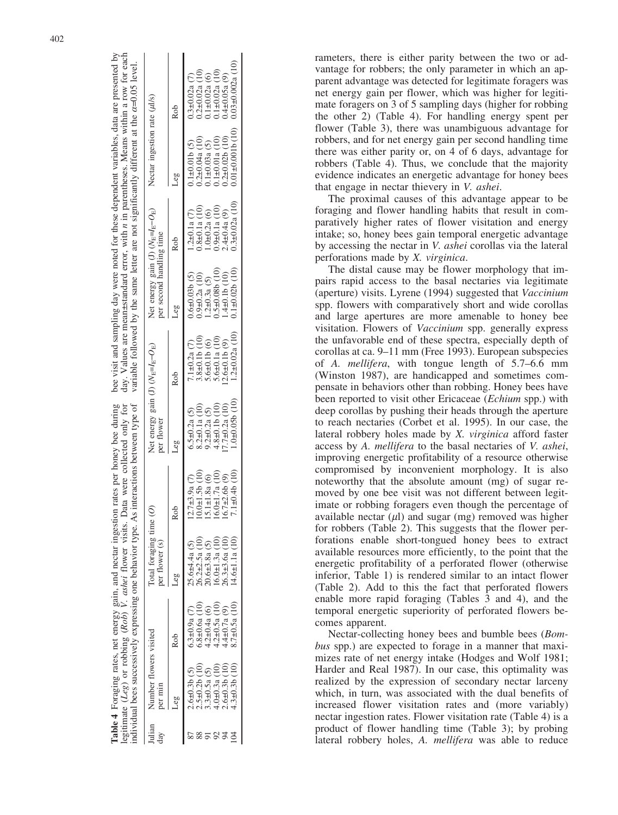|       |                                   |                     | egitimate $(Leg)$ or robbing $(Rob)$ V. ashei flower visits. | <b>Table 4</b> Foraging rates, net energy gain, and nectar ingestion rates per honey bee during<br>Data were collected only for<br>ndividual bees successively expressing one behavior type. As interactions between type of |                                                   |                      |                                                                 |                      | bee visit and sampling day were noted for these dependent variables, data are presented by<br>day. Values are mean±standard error, with <i>n</i> in parentheses. Means within a row for each<br>variable followed by the same letter are not significantly different at the $\alpha$ =0.05 level. |                        |
|-------|-----------------------------------|---------------------|--------------------------------------------------------------|------------------------------------------------------------------------------------------------------------------------------------------------------------------------------------------------------------------------------|---------------------------------------------------|----------------------|-----------------------------------------------------------------|----------------------|---------------------------------------------------------------------------------------------------------------------------------------------------------------------------------------------------------------------------------------------------------------------------------------------------|------------------------|
| ulian | Number flowers visited<br>per min |                     | Fotal foraging time $(O)$<br>per flower (s)                  |                                                                                                                                                                                                                              | Net energy gain (J) $(N_E=I_E-O_E)$<br>per flower |                      | Net energy gain (J) $(N_E=I_E-O_E)$<br>per second handling time |                      | Nectar ingestion rate (µl/s)                                                                                                                                                                                                                                                                      |                        |
|       |                                   | ko<br>≧             |                                                              | Rob                                                                                                                                                                                                                          | Leg                                               | Roh                  | Leg                                                             | Rob                  | Leg                                                                                                                                                                                                                                                                                               | Roh                    |
|       | $2.6 \pm 0.3$ b (5)               | $0.3 \pm 0.9a$ (7)  | $25.6 + 4a(5)$                                               | $12.7\pm3.9a(7)$                                                                                                                                                                                                             | $6.5 \pm 0.2a(5)$                                 | $7.1 \pm 0.2a$ (7)   | $0.6 \pm 0.03$ b (5)                                            | $.2\pm0.1a(7)$       | $0.1 \pm 0.01b(5)$                                                                                                                                                                                                                                                                                | $0.3 \pm 0.02a$ (7)    |
|       | $2.5 \pm 0.2b$ (10)               | $6.8 \pm 0.6a$ (10) | $26.2 \pm 2.5a$ (10                                          | $10.0 + 1.5b(10)$                                                                                                                                                                                                            | $8.2 \pm 0.1a$ (10)                               | $3.8 \pm 0.1$ b (10) | $0.9\pm0.2a(10)$                                                | $0.8\pm0.1a(10)$     | $0.2 \pm 0.04a(10)$                                                                                                                                                                                                                                                                               | $0.2 \pm 0.02$ a (10   |
|       | $3.3 \pm 0.5a$ (5)                | $4.2 \pm 0.4a$ (6)  | $20.6 \pm 3.8a(5)$                                           | $15.1 \pm 1.8a$ (6)                                                                                                                                                                                                          | $9.2 \pm 0.2a$ (5)                                | $5.6 \pm 0.1$ b (6)  | $.2\pm0.3a(5)$                                                  | $1.0 \pm 0.2a(6)$    | $0.1 \pm 0.03a(5)$                                                                                                                                                                                                                                                                                | $0.1 \pm 0.02a(6)$     |
|       | $4.0 + 0.3a(10)$                  | $1.2 \pm 0.5a$ (10) | $16.0 \pm 1.3a$ (10)                                         | $16.0 \pm 1.7a(10)$                                                                                                                                                                                                          | $4.8 \pm 0.1$ b (10)                              | $5.6 \pm 0.1a(10)$   | $0.5 \pm 0.08$ b (10)                                           | $0.9 + 0.1a(10)$     | $0.1\pm 0.01a(10)$                                                                                                                                                                                                                                                                                | $0.1\pm 0.02a(10)$     |
|       | $2.6 \pm 0.3$ b (10               | $4\pm 0.7a(9)$      | $26.3 \pm 3.6a$ (10)                                         | $16.7 \pm 2.6b$ (9)                                                                                                                                                                                                          | $(7.7\pm0.2a(10))$                                | $2.6 \pm 0.1$ b (9)  | $1.4\pm0.1b(10)$                                                | $2.4 \pm 0.4a$ (9)   | $0.2\pm0.02b(10)$                                                                                                                                                                                                                                                                                 | $0.4 \pm 0.05a$ (9)    |
|       | $4.3 \pm 0.3$ b (10)              | $3.7 + 0.5a$        | $(4.6 \pm 1.1a)$ (10)                                        | $7.1 \pm 0.4$ b (10)                                                                                                                                                                                                         | 0.010(100)                                        | $1.2 \pm 0.02a(10)$  | $0.1 \pm 0.02b$ (10)                                            | $0.3 \pm 0.02a$ (10) | $0.01\pm0.001b(10)$                                                                                                                                                                                                                                                                               | $0.03 \pm 0.002a$ (10) |
|       |                                   |                     |                                                              |                                                                                                                                                                                                                              |                                                   |                      |                                                                 |                      |                                                                                                                                                                                                                                                                                                   |                        |

rameters, there is either parity between the two or advantage for robbers; the only parameter in which an apparent advantage was detected for legitimate foragers was net energy gain per flower, which was higher for legitimate foragers on 3 of 5 sampling days (higher for robbing the other 2) (Table 4). For handling energy spent per flower (Table 3), there was unambiguous advantage for robbers, and for net energy gain per second handling time there was either parity or, on 4 of 6 days, advantage for robbers (Table 4). Thus, we conclude that the majority evidence indicates an energetic advantage for honey bees that engage in nectar thievery in V. ashei.

The proximal causes of this advantage appear to be foraging and flower handling habits that result in comparatively higher rates of flower visitation and energy intake; so, honey bees gain temporal energetic advantage by accessing the nectar in V. ashei corollas via the lateral perforations made by X. virginica.

The distal cause may be flower morphology that impairs rapid access to the basal nectaries via legitimate (aperture) visits. Lyrene (1994) suggested that Vaccinium spp. flowers with comparatively short and wide corollas and large apertures are more amenable to honey bee visitation. Flowers of Vaccinium spp. generally express the unfavorable end of these spectra, especially depth of corollas at ca. 9–11 mm (Free 1993). European subspecies of A. mellifera, with tongue length of 5.7–6.6 mm (Winston 1987), are handicapped and sometimes compensate in behaviors other than robbing. Honey bees have been reported to visit other Ericaceae (*Echium* spp.) with deep corollas by pushing their heads through the aperture to reach nectaries (Corbet et al. 1995). In our case, the lateral robbery holes made by X. virginica afford faster access by A. mellifera to the basal nectaries of V. ashei, improving energetic profitability of a resource otherwise compromised by inconvenient morphology. It is also noteworthy that the absolute amount (mg) of sugar removed by one bee visit was not different between legitimate or robbing foragers even though the percentage of available nectar  $(\mu l)$  and sugar (mg) removed was higher for robbers (Table 2). This suggests that the flower perforations enable short-tongued honey bees to extract available resources more efficiently, to the point that the energetic profitability of a perforated flower (otherwise inferior, Table 1) is rendered similar to an intact flower (Table 2). Add to this the fact that perforated flowers enable more rapid foraging (Tables 3 and 4), and the temporal energetic superiority of perforated flowers becomes apparent.

Nectar-collecting honey bees and bumble bees (Bombus spp.) are expected to forage in a manner that maximizes rate of net energy intake (Hodges and Wolf 1981; Harder and Real 1987). In our case, this optimality was realized by the expression of secondary nectar larceny which, in turn, was associated with the dual benefits of increased flower visitation rates and (more variably) nectar ingestion rates. Flower visitation rate (Table 4) is a product of flower handling time (Table 3); by probing lateral robbery holes, A. mellifera was able to reduce